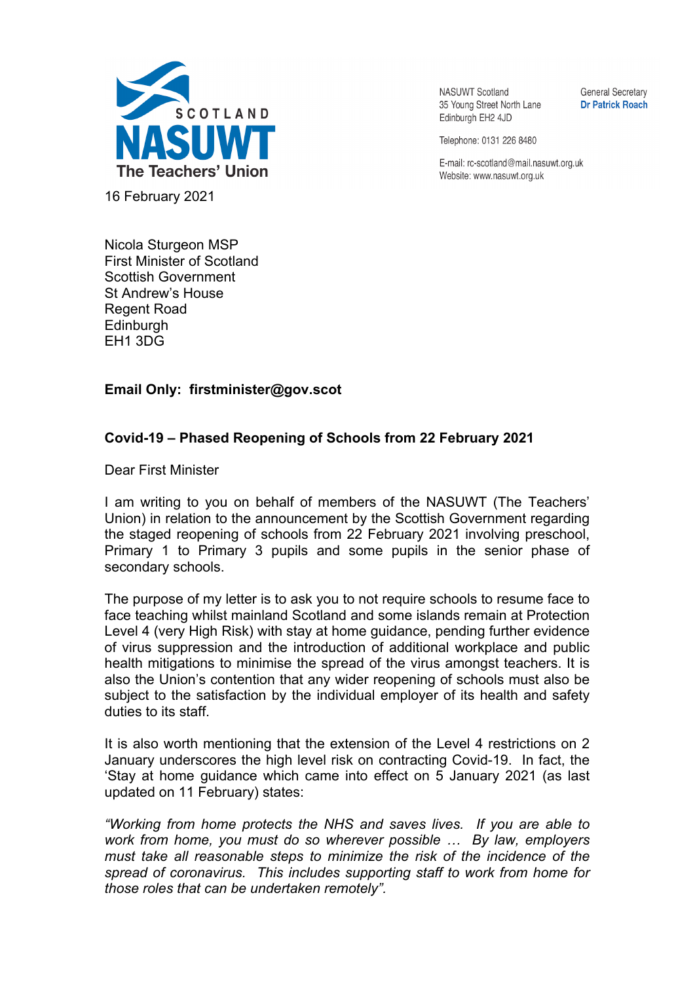

**NASUWT Scotland** 35 Young Street North Lane Edinburgh EH2 4JD

**General Secretary Dr Patrick Roach** 

Telephone: 0131 226 8480

E-mail: rc-scotland@mail.nasuwt.org.uk Website: www.nasuwt.org.uk

16 February 2021

Nicola Sturgeon MSP First Minister of Scotland Scottish Government St Andrew's House Regent Road Edinburgh EH1 3DG

## **Email Only: firstminister@gov.scot**

## **Covid-19 – Phased Reopening of Schools from 22 February 2021**

Dear First Minister

I am writing to you on behalf of members of the NASUWT (The Teachers' Union) in relation to the announcement by the Scottish Government regarding the staged reopening of schools from 22 February 2021 involving preschool, Primary 1 to Primary 3 pupils and some pupils in the senior phase of secondary schools.

The purpose of my letter is to ask you to not require schools to resume face to face teaching whilst mainland Scotland and some islands remain at Protection Level 4 (very High Risk) with stay at home guidance, pending further evidence of virus suppression and the introduction of additional workplace and public health mitigations to minimise the spread of the virus amongst teachers. It is also the Union's contention that any wider reopening of schools must also be subject to the satisfaction by the individual employer of its health and safety duties to its staff.

It is also worth mentioning that the extension of the Level 4 restrictions on 2 January underscores the high level risk on contracting Covid-19. In fact, the 'Stay at home guidance which came into effect on 5 January 2021 (as last updated on 11 February) states:

*"Working from home protects the NHS and saves lives. If you are able to work from home, you must do so wherever possible … By law, employers must take all reasonable steps to minimize the risk of the incidence of the spread of coronavirus. This includes supporting staff to work from home for those roles that can be undertaken remotely".*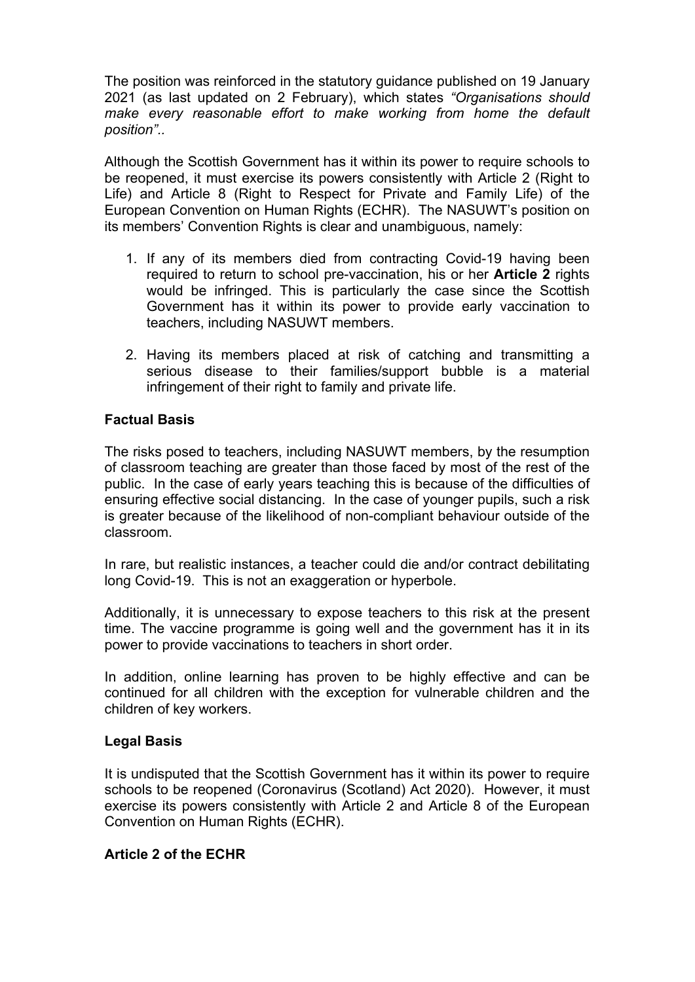The position was reinforced in the statutory guidance published on 19 January 2021 (as last updated on 2 February), which states *"Organisations should make every reasonable effort to make working from home the default position"..*

Although the Scottish Government has it within its power to require schools to be reopened, it must exercise its powers consistently with Article 2 (Right to Life) and Article 8 (Right to Respect for Private and Family Life) of the European Convention on Human Rights (ECHR). The NASUWT's position on its members' Convention Rights is clear and unambiguous, namely:

- 1. If any of its members died from contracting Covid-19 having been required to return to school pre-vaccination, his or her **Article 2** rights would be infringed. This is particularly the case since the Scottish Government has it within its power to provide early vaccination to teachers, including NASUWT members.
- 2. Having its members placed at risk of catching and transmitting a serious disease to their families/support bubble is a material infringement of their right to family and private life.

## **Factual Basis**

The risks posed to teachers, including NASUWT members, by the resumption of classroom teaching are greater than those faced by most of the rest of the public. In the case of early years teaching this is because of the difficulties of ensuring effective social distancing. In the case of younger pupils, such a risk is greater because of the likelihood of non-compliant behaviour outside of the classroom.

In rare, but realistic instances, a teacher could die and/or contract debilitating long Covid-19. This is not an exaggeration or hyperbole.

Additionally, it is unnecessary to expose teachers to this risk at the present time. The vaccine programme is going well and the government has it in its power to provide vaccinations to teachers in short order.

In addition, online learning has proven to be highly effective and can be continued for all children with the exception for vulnerable children and the children of key workers.

### **Legal Basis**

It is undisputed that the Scottish Government has it within its power to require schools to be reopened (Coronavirus (Scotland) Act 2020). However, it must exercise its powers consistently with Article 2 and Article 8 of the European Convention on Human Rights (ECHR).

### **Article 2 of the ECHR**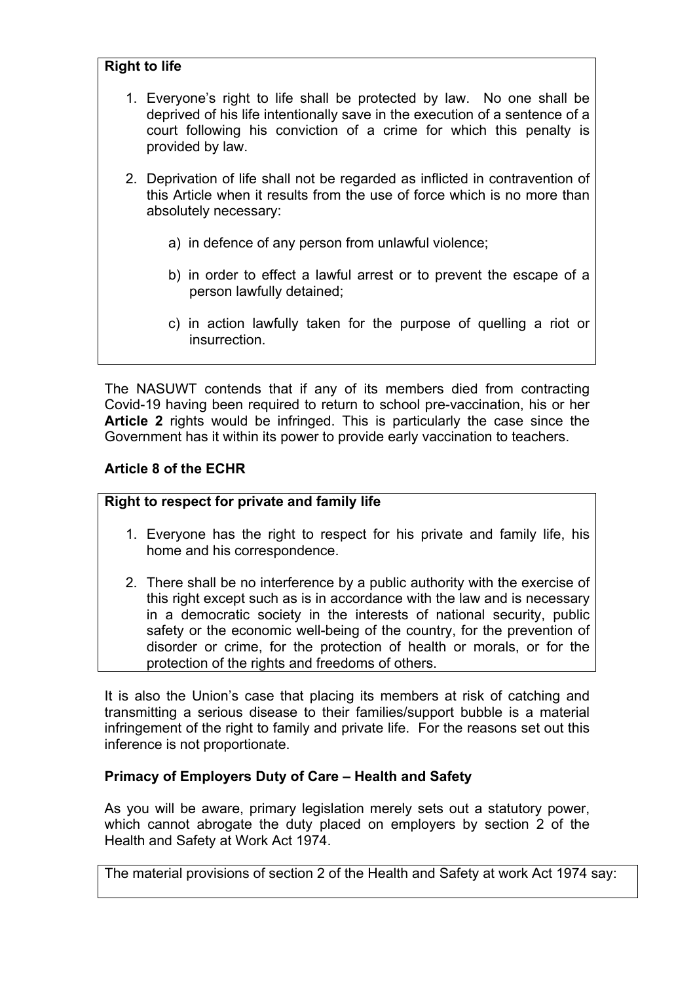## **Right to life**

- 1. Everyone's right to life shall be protected by law. No one shall be deprived of his life intentionally save in the execution of a sentence of a court following his conviction of a crime for which this penalty is provided by law.
- 2. Deprivation of life shall not be regarded as inflicted in contravention of this Article when it results from the use of force which is no more than absolutely necessary:
	- a) in defence of any person from unlawful violence;
	- b) in order to effect a lawful arrest or to prevent the escape of a person lawfully detained;
	- c) in action lawfully taken for the purpose of quelling a riot or insurrection.

The NASUWT contends that if any of its members died from contracting Covid-19 having been required to return to school pre-vaccination, his or her **Article 2** rights would be infringed. This is particularly the case since the Government has it within its power to provide early vaccination to teachers.

## **Article 8 of the ECHR**

### **Right to respect for private and family life**

- 1. Everyone has the right to respect for his private and family life, his home and his correspondence.
- 2. There shall be no interference by a public authority with the exercise of this right except such as is in accordance with the law and is necessary in a democratic society in the interests of national security, public safety or the economic well-being of the country, for the prevention of disorder or crime, for the protection of health or morals, or for the protection of the rights and freedoms of others.

It is also the Union's case that placing its members at risk of catching and transmitting a serious disease to their families/support bubble is a material infringement of the right to family and private life. For the reasons set out this inference is not proportionate.

### **Primacy of Employers Duty of Care – Health and Safety**

As you will be aware, primary legislation merely sets out a statutory power, which cannot abrogate the duty placed on employers by section 2 of the Health and Safety at Work Act 1974.

The material provisions of section 2 of the Health and Safety at work Act 1974 say: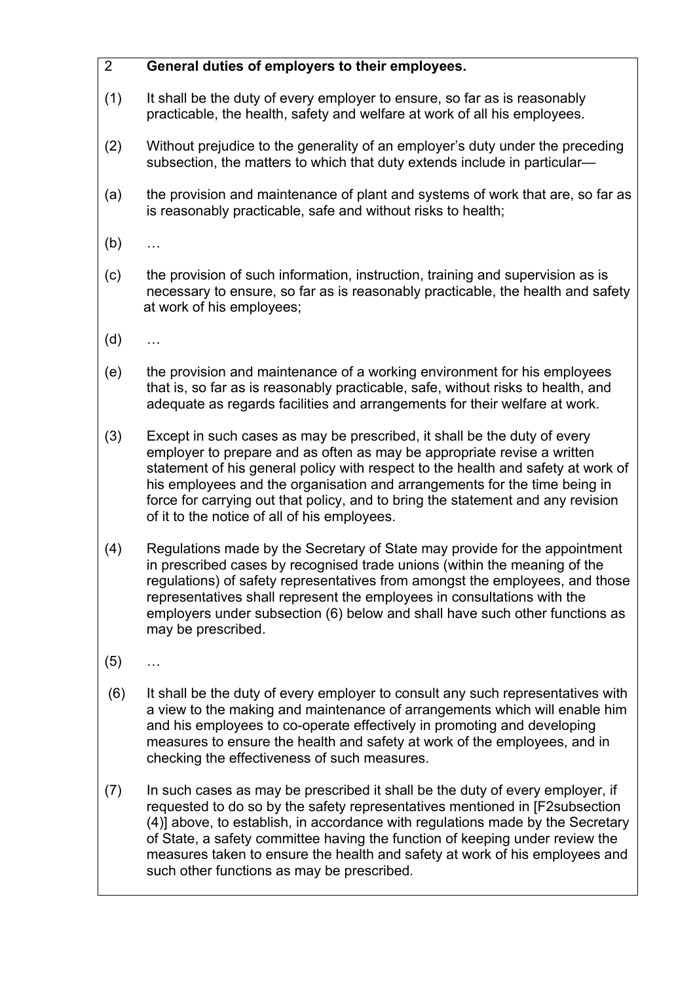# 2 **General duties of employers to their employees.**

- (1) It shall be the duty of every employer to ensure, so far as is reasonably practicable, the health, safety and welfare at work of all his employees.
- (2) Without prejudice to the generality of an employer's duty under the preceding subsection, the matters to which that duty extends include in particular—
- (a) the provision and maintenance of plant and systems of work that are, so far as is reasonably practicable, safe and without risks to health;
- (b) …
- (c) the provision of such information, instruction, training and supervision as is necessary to ensure, so far as is reasonably practicable, the health and safety at work of his employees;
- (d) …
- (e) the provision and maintenance of a working environment for his employees that is, so far as is reasonably practicable, safe, without risks to health, and adequate as regards facilities and arrangements for their welfare at work.
- (3) Except in such cases as may be prescribed, it shall be the duty of every employer to prepare and as often as may be appropriate revise a written statement of his general policy with respect to the health and safety at work of his employees and the organisation and arrangements for the time being in force for carrying out that policy, and to bring the statement and any revision of it to the notice of all of his employees.
- (4) Regulations made by the Secretary of State may provide for the appointment in prescribed cases by recognised trade unions (within the meaning of the regulations) of safety representatives from amongst the employees, and those representatives shall represent the employees in consultations with the employers under subsection (6) below and shall have such other functions as may be prescribed.
- (5) …
- (6) It shall be the duty of every employer to consult any such representatives with a view to the making and maintenance of arrangements which will enable him and his employees to co-operate effectively in promoting and developing measures to ensure the health and safety at work of the employees, and in checking the effectiveness of such measures.
- (7) In such cases as may be prescribed it shall be the duty of every employer, if requested to do so by the safety representatives mentioned in [F2subsection (4)] above, to establish, in accordance with regulations made by the Secretary of State, a safety committee having the function of keeping under review the measures taken to ensure the health and safety at work of his employees and such other functions as may be prescribed*.*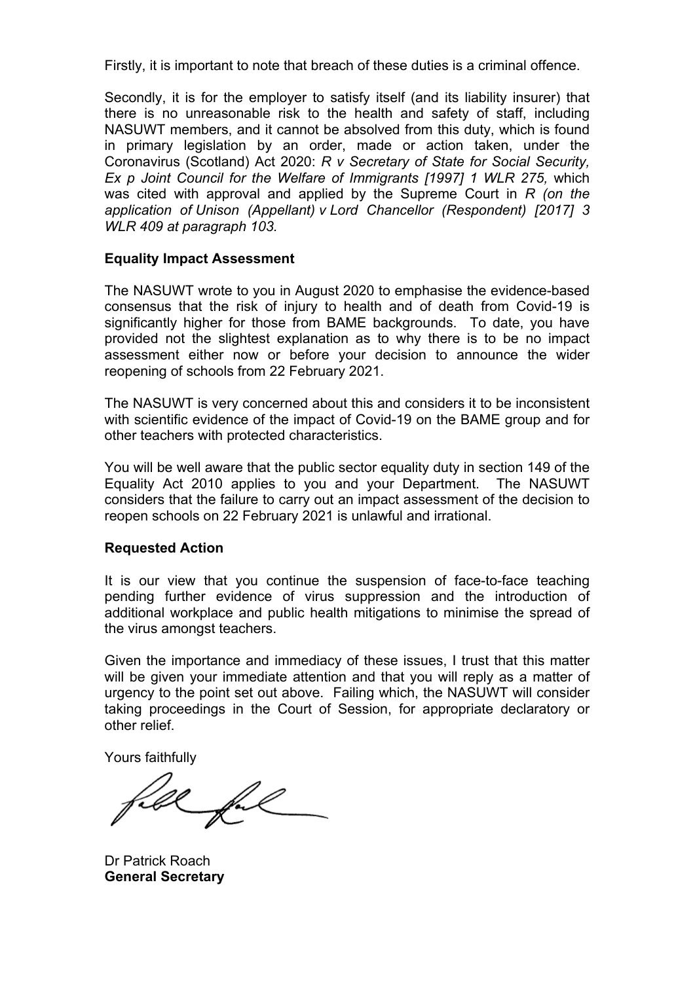Firstly, it is important to note that breach of these duties is a criminal offence.

Secondly, it is for the employer to satisfy itself (and its liability insurer) that there is no unreasonable risk to the health and safety of staff, including NASUWT members, and it cannot be absolved from this duty, which is found in primary legislation by an order, made or action taken, under the Coronavirus (Scotland) Act 2020: *R v Secretary of State for Social Security, Ex p Joint Council for the Welfare of Immigrants [1997] 1 WLR 275,* which was cited with approval and applied by the Supreme Court in *R (on the application of Unison (Appellant) v Lord Chancellor (Respondent) [2017] 3 WLR 409 at paragraph 103.*

## **Equality Impact Assessment**

The NASUWT wrote to you in August 2020 to emphasise the evidence-based consensus that the risk of injury to health and of death from Covid-19 is significantly higher for those from BAME backgrounds. To date, you have provided not the slightest explanation as to why there is to be no impact assessment either now or before your decision to announce the wider reopening of schools from 22 February 2021.

The NASUWT is very concerned about this and considers it to be inconsistent with scientific evidence of the impact of Covid-19 on the BAME group and for other teachers with protected characteristics.

You will be well aware that the public sector equality duty in section 149 of the Equality Act 2010 applies to you and your Department. The NASUWT considers that the failure to carry out an impact assessment of the decision to reopen schools on 22 February 2021 is unlawful and irrational.

### **Requested Action**

It is our view that you continue the suspension of face-to-face teaching pending further evidence of virus suppression and the introduction of additional workplace and public health mitigations to minimise the spread of the virus amongst teachers.

Given the importance and immediacy of these issues, I trust that this matter will be given your immediate attention and that you will reply as a matter of urgency to the point set out above. Failing which, the NASUWT will consider taking proceedings in the Court of Session, for appropriate declaratory or other relief.

Yours faithfully

le fil

Dr Patrick Roach **General Secretary**